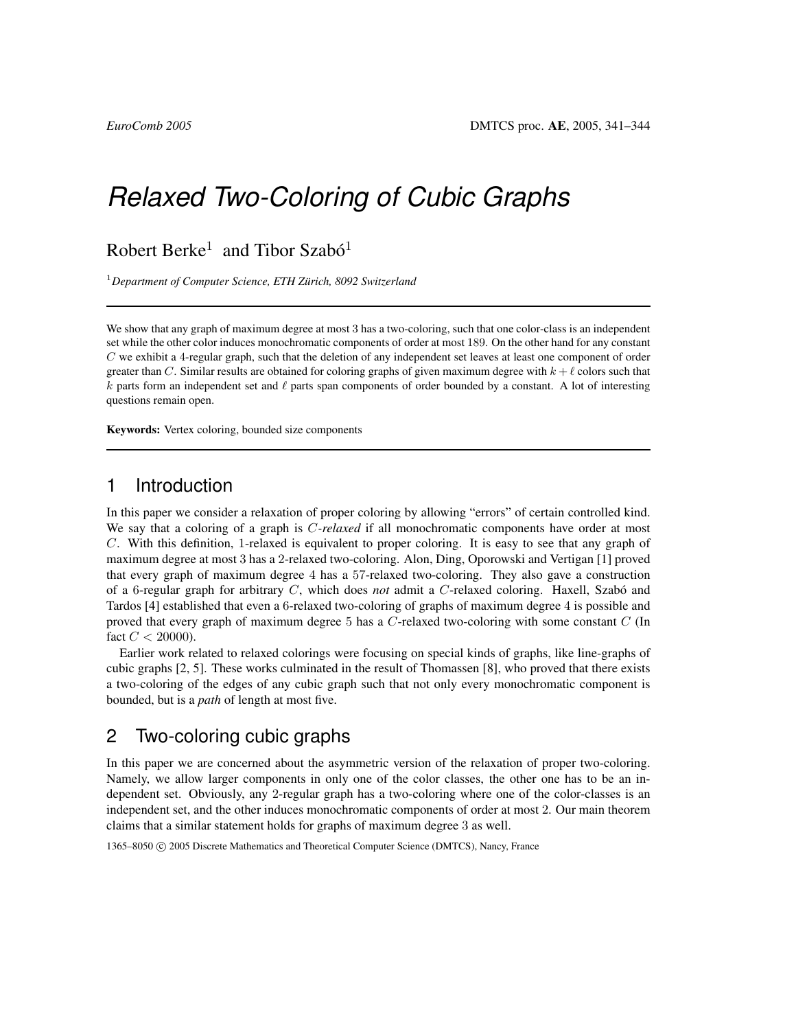# *Relaxed Two-Coloring of Cubic Graphs*

Robert Berke<sup>1</sup> and Tibor Szabó<sup>1</sup>

<sup>1</sup>Department of Computer Science, ETH Zürich, 8092 Switzerland

We show that any graph of maximum degree at most 3 has a two-coloring, such that one color-class is an independent set while the other color induces monochromatic components of order at most 189. On the other hand for any constant C we exhibit a 4-regular graph, such that the deletion of any independent set leaves at least one component of order greater than C. Similar results are obtained for coloring graphs of given maximum degree with  $k + \ell$  colors such that k parts form an independent set and  $\ell$  parts span components of order bounded by a constant. A lot of interesting questions remain open.

Keywords: Vertex coloring, bounded size components

#### 1 Introduction

In this paper we consider a relaxation of proper coloring by allowing "errors" of certain controlled kind. We say that a coloring of a graph is C*-relaxed* if all monochromatic components have order at most C. With this definition, 1-relaxed is equivalent to proper coloring. It is easy to see that any graph of maximum degree at most 3 has a 2-relaxed two-coloring. Alon, Ding, Oporowski and Vertigan [1] proved that every graph of maximum degree 4 has a 57-relaxed two-coloring. They also gave a construction of a 6-regular graph for arbitrary C, which does *not* admit a C-relaxed coloring. Haxell, Szabó and Tardos [4] established that even a 6-relaxed two-coloring of graphs of maximum degree 4 is possible and proved that every graph of maximum degree 5 has a C-relaxed two-coloring with some constant C (In fact  $C < 20000$ ).

Earlier work related to relaxed colorings were focusing on special kinds of graphs, like line-graphs of cubic graphs [2, 5]. These works culminated in the result of Thomassen [8], who proved that there exists a two-coloring of the edges of any cubic graph such that not only every monochromatic component is bounded, but is a *path* of length at most five.

## 2 Two-coloring cubic graphs

In this paper we are concerned about the asymmetric version of the relaxation of proper two-coloring. Namely, we allow larger components in only one of the color classes, the other one has to be an independent set. Obviously, any 2-regular graph has a two-coloring where one of the color-classes is an independent set, and the other induces monochromatic components of order at most 2. Our main theorem claims that a similar statement holds for graphs of maximum degree 3 as well.

1365–8050 © 2005 Discrete Mathematics and Theoretical Computer Science (DMTCS), Nancy, France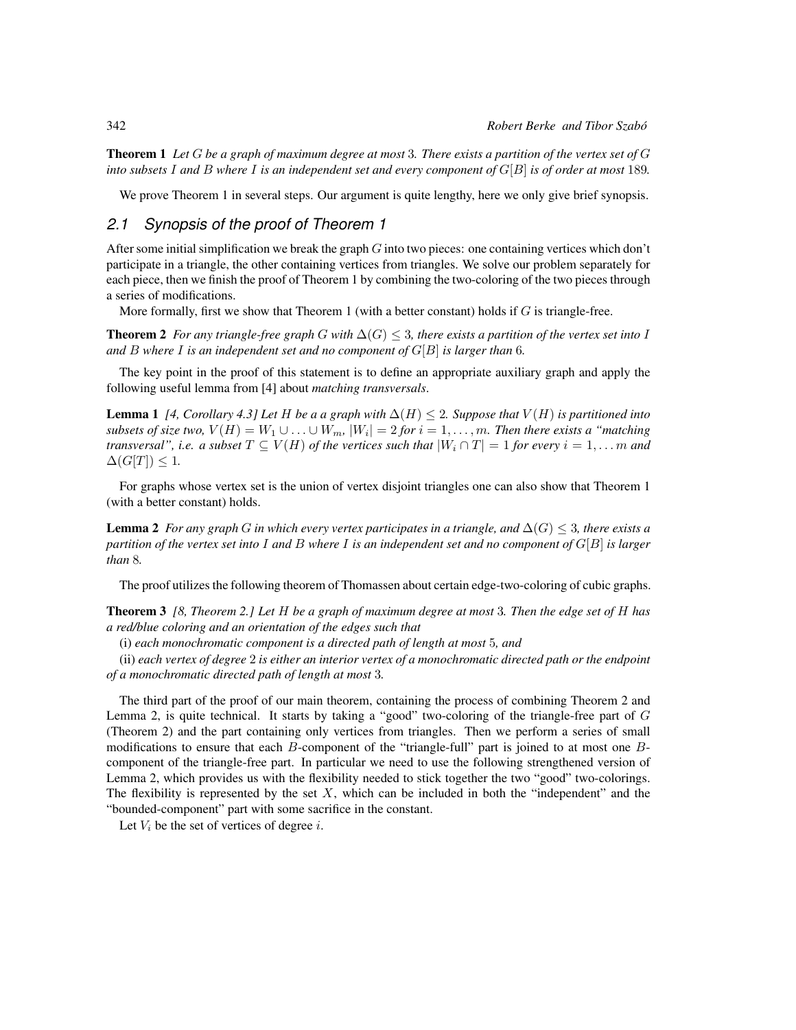Theorem 1 *Let* G *be a graph of maximum degree at most* 3*. There exists a partition of the vertex set of* G *into subsets* I *and* B *where* I *is an independent set and every component of* G[B] *is of order at most* 189*.*

We prove Theorem 1 in several steps. Our argument is quite lengthy, here we only give brief synopsis.

#### *2.1 Synopsis of the proof of Theorem 1*

After some initial simplification we break the graph  $G$  into two pieces: one containing vertices which don't participate in a triangle, the other containing vertices from triangles. We solve our problem separately for each piece, then we finish the proof of Theorem 1 by combining the two-coloring of the two pieces through a series of modifications.

More formally, first we show that Theorem 1 (with a better constant) holds if  $G$  is triangle-free.

**Theorem 2** *For any triangle-free graph* G *with*  $\Delta(G) \leq 3$ *, there exists a partition of the vertex set into* I *and* B *where* I *is an independent set and no component of* G[B] *is larger than* 6*.*

The key point in the proof of this statement is to define an appropriate auxiliary graph and apply the following useful lemma from [4] about *matching transversals*.

**Lemma 1** *[4, Corollary 4.3] Let* H *be a a graph with*  $\Delta(H) \leq 2$ *. Suppose that*  $V(H)$  *is partitioned into*  $subsets$  of size two,  $V(H) = W_1 \cup \ldots \cup W_m$ ,  $|W_i| = 2$  for  $i = 1, \ldots, m$ . Then there exists a "matching *transversal", i.e. a subset*  $T \subseteq V(H)$  *of the vertices such that*  $|W_i \cap T| = 1$  *for every*  $i = 1, \ldots m$  *and*  $\Delta(G[T]) \leq 1$ .

For graphs whose vertex set is the union of vertex disjoint triangles one can also show that Theorem 1 (with a better constant) holds.

**Lemma 2** *For any graph* G *in which every vertex participates in a triangle, and*  $\Delta(G) \leq 3$ *, there exists a partition of the vertex set into* I *and* B *where* I *is an independent set and no component of* G[B] *is larger than* 8*.*

The proof utilizes the following theorem of Thomassen about certain edge-two-coloring of cubic graphs.

Theorem 3 *[8, Theorem 2.] Let* H *be a graph of maximum degree at most* 3*. Then the edge set of* H *has a red/blue coloring and an orientation of the edges such that*

(i) *each monochromatic component is a directed path of length at most* 5*, and*

(ii) *each vertex of degree* 2 *is either an interior vertex of a monochromatic directed path or the endpoint of a monochromatic directed path of length at most* 3*.*

The third part of the proof of our main theorem, containing the process of combining Theorem 2 and Lemma 2, is quite technical. It starts by taking a "good" two-coloring of the triangle-free part of  $G$ (Theorem 2) and the part containing only vertices from triangles. Then we perform a series of small modifications to ensure that each B-component of the "triangle-full" part is joined to at most one Bcomponent of the triangle-free part. In particular we need to use the following strengthened version of Lemma 2, which provides us with the flexibility needed to stick together the two "good" two-colorings. The flexibility is represented by the set  $X$ , which can be included in both the "independent" and the "bounded-component" part with some sacrifice in the constant.

Let  $V_i$  be the set of vertices of degree i.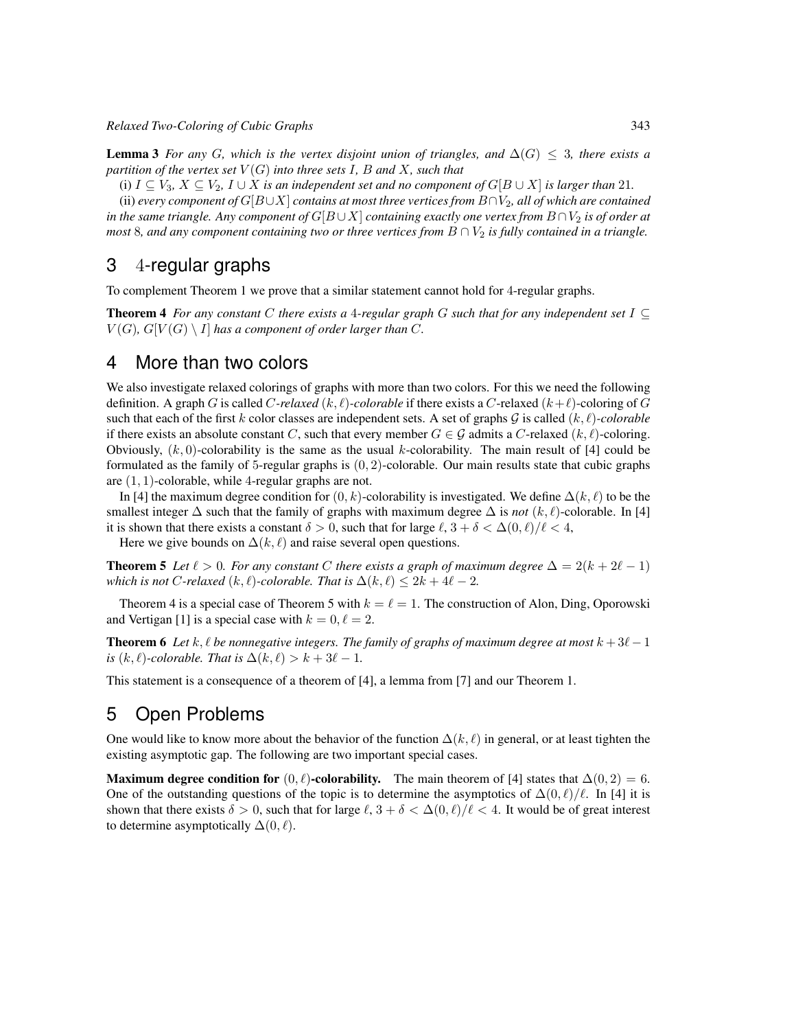*Relaxed Two-Coloring of Cubic Graphs* 343

**Lemma 3** For any G, which is the vertex disjoint union of triangles, and  $\Delta(G) \leq 3$ , there exists a *partition of the vertex set*  $V(G)$  *into three sets* I, B and X, such that

(i)  $I \subseteq V_3$ ,  $X \subseteq V_2$ ,  $I \cup X$  *is an independent set and no component of*  $G[B \cup X]$  *is larger than* 21*.* 

(ii) *every component of*  $G[B\cup X]$  *contains at most three vertices from*  $B\cap V_2$ *, all of which are contained in the same triangle. Any component of*  $G[B \cup X]$  *containing exactly one vertex from*  $B \cap V_2$  *is of order at most* 8*, and any component containing two or three vertices from*  $B \cap V_2$  *is fully contained in a triangle.* 

### 3 4-regular graphs

To complement Theorem 1 we prove that a similar statement cannot hold for 4-regular graphs.

Theorem 4 *For any constant* C *there exists a* 4*-regular graph* G *such that for any independent set* I ⊆  $V(G)$ ,  $G[V(G) \setminus I]$  has a component of order larger than C.

#### 4 More than two colors

We also investigate relaxed colorings of graphs with more than two colors. For this we need the following definition. A graph G is called C-relaxed  $(k, \ell)$ -colorable if there exists a C-relaxed  $(k+\ell)$ -coloring of G such that each of the first k color classes are independent sets. A set of graphs  $G$  is called  $(k, \ell)$ *-colorable* if there exists an absolute constant C, such that every member  $G \in \mathcal{G}$  admits a C-relaxed  $(k, \ell)$ -coloring. Obviously,  $(k, 0)$ -colorability is the same as the usual k-colorability. The main result of [4] could be formulated as the family of 5-regular graphs is  $(0, 2)$ -colorable. Our main results state that cubic graphs are  $(1, 1)$ -colorable, while 4-regular graphs are not.

In [4] the maximum degree condition for  $(0, k)$ -colorability is investigated. We define  $\Delta(k, \ell)$  to be the smallest integer  $\Delta$  such that the family of graphs with maximum degree  $\Delta$  is *not* (k,  $\ell$ )-colorable. In [4] it is shown that there exists a constant  $\delta > 0$ , such that for large  $\ell$ ,  $3 + \delta < \Delta(0, \ell)/\ell < 4$ ,

Here we give bounds on  $\Delta(k, \ell)$  and raise several open questions.

**Theorem 5** Let  $\ell > 0$ . For any constant C there exists a graph of maximum degree  $\Delta = 2(k + 2\ell - 1)$ *which is not* C-relaxed  $(k, \ell)$ -colorable. That is  $\Delta(k, \ell) \leq 2k + 4\ell - 2$ .

Theorem 4 is a special case of Theorem 5 with  $k = \ell = 1$ . The construction of Alon, Ding, Oporowski and Vertigan [1] is a special case with  $k = 0, \ell = 2$ .

**Theorem 6** Let  $k, \ell$  be nonnegative integers. The family of graphs of maximum degree at most  $k + 3\ell - 1$ *is*  $(k, \ell)$ *-colorable. That is*  $\Delta(k, \ell) > k + 3\ell - 1$ *.* 

This statement is a consequence of a theorem of [4], a lemma from [7] and our Theorem 1.

## 5 Open Problems

One would like to know more about the behavior of the function  $\Delta(k, \ell)$  in general, or at least tighten the existing asymptotic gap. The following are two important special cases.

**Maximum degree condition for**  $(0, \ell)$ -**colorability.** The main theorem of [4] states that  $\Delta(0, 2) = 6$ . One of the outstanding questions of the topic is to determine the asymptotics of  $\Delta(0, \ell)/\ell$ . In [4] it is shown that there exists  $\delta > 0$ , such that for large  $\ell$ ,  $3 + \delta < \Delta(0, \ell)/\ell < 4$ . It would be of great interest to determine asymptotically  $\Delta(0, \ell)$ .